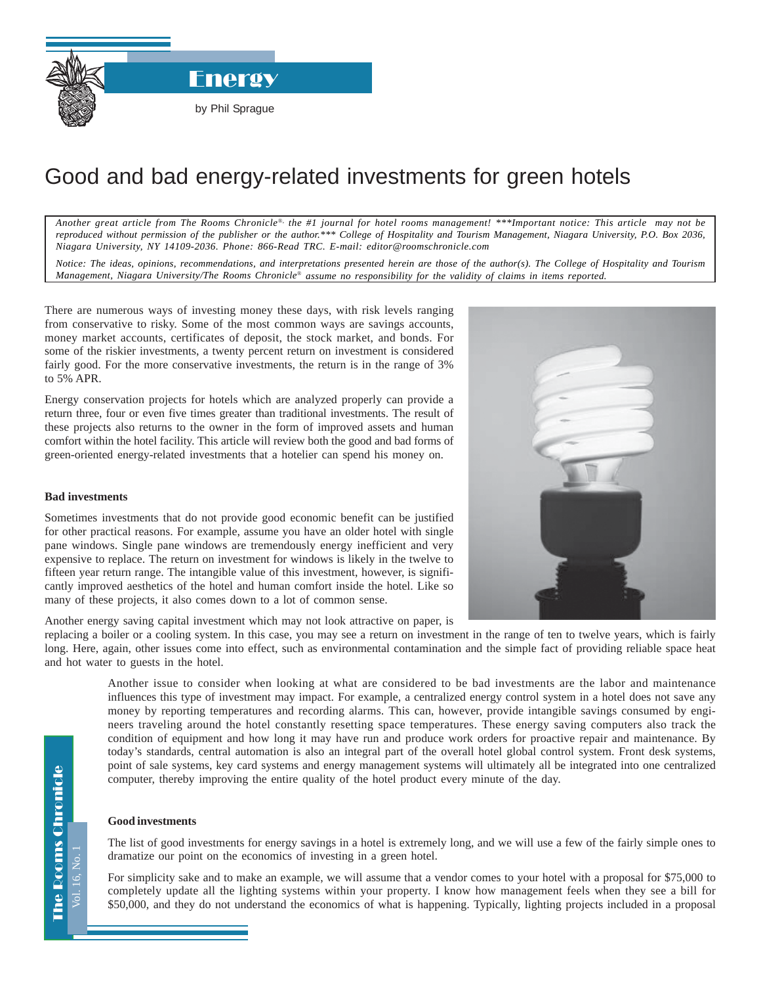**Energy** 

## Good and bad energy-related investments for green hotels

*Another great article from The Rooms Chronicle*®*, the #1 journal for hotel rooms management! \*\*\*Important notice: This article may not be reproduced without permission of the publisher or the author.\*\*\* College of Hospitality and Tourism Management, Niagara University, P.O. Box 2036, Niagara University, NY 14109-2036. Phone: 866-Read TRC. E-mail: editor@roomschronicle.com*

*Notice: The ideas, opinions, recommendations, and interpretations presented herein are those of the author(s). The College of Hospitality and Tourism Management, Niagara University/The Rooms Chronicle*® *assume no responsibility for the validity of claims in items reported.*

There are numerous ways of investing money these days, with risk levels ranging from conservative to risky. Some of the most common ways are savings accounts, money market accounts, certificates of deposit, the stock market, and bonds. For some of the riskier investments, a twenty percent return on investment is considered fairly good. For the more conservative investments, the return is in the range of 3% to 5% APR.

Energy conservation projects for hotels which are analyzed properly can provide a return three, four or even five times greater than traditional investments. The result of these projects also returns to the owner in the form of improved assets and human comfort within the hotel facility. This article will review both the good and bad forms of green-oriented energy-related investments that a hotelier can spend his money on.

## **Bad investments**

Sometimes investments that do not provide good economic benefit can be justified for other practical reasons. For example, assume you have an older hotel with single pane windows. Single pane windows are tremendously energy inefficient and very expensive to replace. The return on investment for windows is likely in the twelve to fifteen year return range. The intangible value of this investment, however, is significantly improved aesthetics of the hotel and human comfort inside the hotel. Like so many of these projects, it also comes down to a lot of common sense.

Another energy saving capital investment which may not look attractive on paper, is

replacing a boiler or a cooling system. In this case, you may see a return on investment in the range of ten to twelve years, which is fairly long. Here, again, other issues come into effect, such as environmental contamination and the simple fact of providing reliable space heat and hot water to guests in the hotel.

Another issue to consider when looking at what are considered to be bad investments are the labor and maintenance influences this type of investment may impact. For example, a centralized energy control system in a hotel does not save any money by reporting temperatures and recording alarms. This can, however, provide intangible savings consumed by engineers traveling around the hotel constantly resetting space temperatures. These energy saving computers also track the condition of equipment and how long it may have run and produce work orders for proactive repair and maintenance. By today's standards, central automation is also an integral part of the overall hotel global control system. Front desk systems, point of sale systems, key card systems and energy management systems will ultimately all be integrated into one centralized computer, thereby improving the entire quality of the hotel product every minute of the day.

## **Good investments**

The list of good investments for energy savings in a hotel is extremely long, and we will use a few of the fairly simple ones to dramatize our point on the economics of investing in a green hotel.

For simplicity sake and to make an example, we will assume that a vendor comes to your hotel with a proposal for \$75,000 to completely update all the lighting systems within your property. I know how management feels when they see a bill for \$50,000, and they do not understand the economics of what is happening. Typically, lighting projects included in a proposal